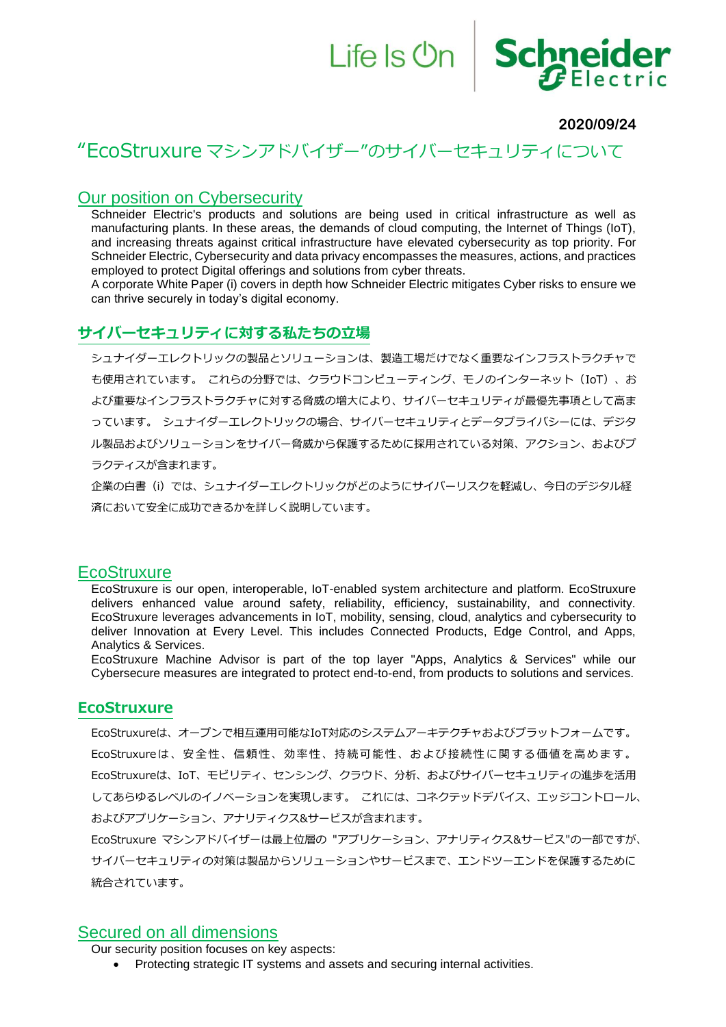# Life Is On Schneider  $F$ Electric

#### **2020/09/24**

# "EcoStruxure マシンアドバイザー"のサイバーセキュリティについて

#### Our position on Cybersecurity

Schneider Electric's products and solutions are being used in critical infrastructure as well as manufacturing plants. In these areas, the demands of cloud computing, the Internet of Things (IoT), and increasing threats against critical infrastructure have elevated cybersecurity as top priority. For Schneider Electric, Cybersecurity and data privacy encompasses the measures, actions, and practices employed to protect Digital offerings and solutions from cyber threats.

A corporate White Paper (i) covers in depth how Schneider Electric mitigates Cyber risks to ensure we can thrive securely in today's digital economy.

#### **サイバーセキュリティに対する私たちの立場**

シュナイダーエレクトリックの製品とソリューションは、製造工場だけでなく重要なインフラストラクチャで も使用されています。 これらの分野では、クラウドコンピューティング、モノのインターネット(IoT)、お よび重要なインフラストラクチャに対する脅威の増大により、サイバーセキュリティが最優先事項として高ま っています。 シュナイダーエレクトリックの場合、サイバーセキュリティとデータプライバシーには、デジタ ル製品およびソリューションをサイバー脅威から保護するために採用されている対策、アクション、およびプ ラクティスが含まれます。

企業の白書(i)では、シュナイダーエレクトリックがどのようにサイバーリスクを軽減し、今日のデジタル経 済において安全に成功できるかを詳しく説明しています。

#### **EcoStruxure**

EcoStruxure is our open, interoperable, IoT-enabled system architecture and platform. EcoStruxure delivers enhanced value around safety, reliability, efficiency, sustainability, and connectivity. EcoStruxure leverages advancements in IoT, mobility, sensing, cloud, analytics and cybersecurity to deliver Innovation at Every Level. This includes Connected Products, Edge Control, and Apps, Analytics & Services.

EcoStruxure Machine Advisor is part of the top layer "Apps, Analytics & Services" while our Cybersecure measures are integrated to protect end-to-end, from products to solutions and services.

#### **EcoStruxure**

EcoStruxureは、オープンで相互運用可能なIoT対応のシステムアーキテクチャおよびプラットフォームです。 EcoStruxureは、安全性、信頼性、効率性、持続可能性、および接続性に関する価値を高めます。 EcoStruxureは、IoT、モビリティ、センシング、クラウド、分析、およびサイバーセキュリティの進歩を活用 してあらゆるレベルのイノベーションを実現します。 これには、コネクテッドデバイス、エッジコントロール、 およびアプリケーション、アナリティクス&サービスが含まれます。

EcoStruxure マシンアドバイザーは最上位層の "アプリケーション、アナリティクス&サービス"の一部ですが、 サイバーセキュリティの対策は製品からソリューションやサービスまで、エンドツーエンドを保護するために 統合されています。

#### Secured on all dimensions

Our security position focuses on key aspects:

• Protecting strategic IT systems and assets and securing internal activities.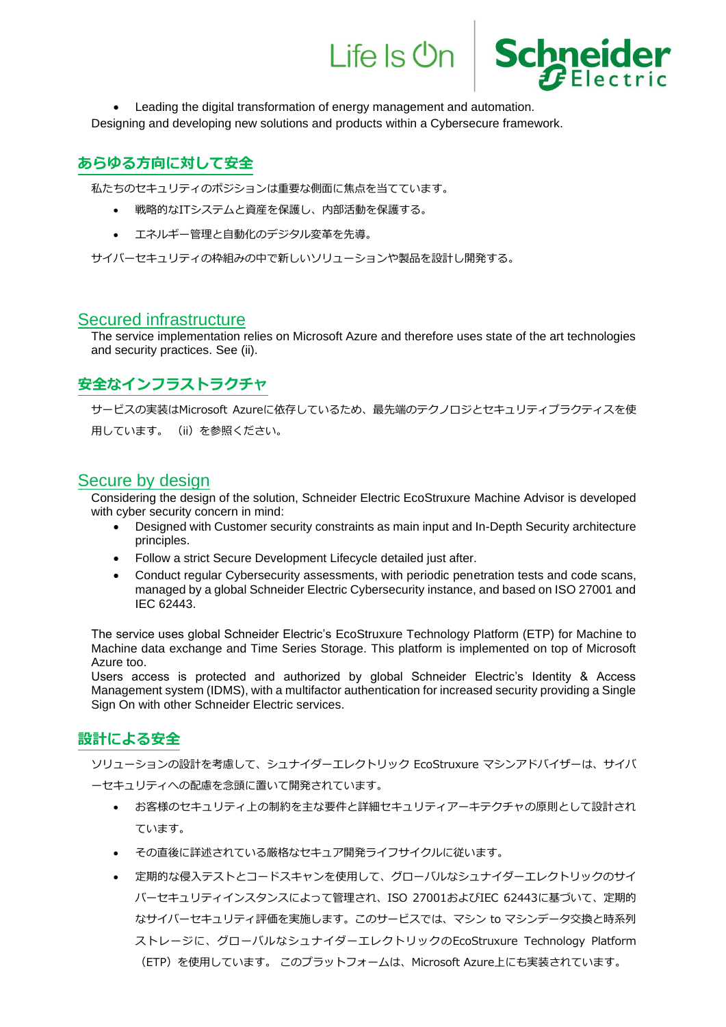

• Leading the digital transformation of energy management and automation.

Designing and developing new solutions and products within a Cybersecure framework.

### **あらゆる方向に対して安全**

私たちのセキュリティのポジションは重要な側面に焦点を当てています。

- 戦略的なITシステムと資産を保護し、内部活動を保護する。
- エネルギー管理と自動化のデジタル変革を先導。

サイバーセキュリティの枠組みの中で新しいソリューションや製品を設計し開発する。

#### Secured infrastructure

The service implementation relies on Microsoft Azure and therefore uses state of the art technologies and security practices. See (ii).

## **安全なインフラストラクチャ**

サービスの実装はMicrosoft Azureに依存しているため、最先端のテクノロジとセキュリティプラクティスを使 用しています。 (ii)を参照ください。

### Secure by design

Considering the design of the solution, Schneider Electric EcoStruxure Machine Advisor is developed with cyber security concern in mind:

- Designed with Customer security constraints as main input and In-Depth Security architecture principles.
- Follow a strict Secure Development Lifecycle detailed just after.
- Conduct regular Cybersecurity assessments, with periodic penetration tests and code scans, managed by a global Schneider Electric Cybersecurity instance, and based on ISO 27001 and IEC 62443.

The service uses global Schneider Electric's EcoStruxure Technology Platform (ETP) for Machine to Machine data exchange and Time Series Storage. This platform is implemented on top of Microsoft Azure too.

Users access is protected and authorized by global Schneider Electric's Identity & Access Management system (IDMS), with a multifactor authentication for increased security providing a Single Sign On with other Schneider Electric services.

#### **設計による安全**

ソリューションの設計を考慮して、シュナイダーエレクトリック EcoStruxure マシンアドバイザーは、サイバ ーセキュリティへの配慮を念頭に置いて開発されています。

- お客様のセキュリティ上の制約を主な要件と詳細セキュリティアーキテクチャの原則として設計され ています。
- その直後に詳述されている厳格なセキュア開発ライフサイクルに従います。
- 定期的な侵入テストとコードスキャンを使用して、グローバルなシュナイダーエレクトリックのサイ バーセキュリティインスタンスによって管理され、ISO 27001およびIEC 62443に基づいて、定期的 なサイバーセキュリティ評価を実施します。このサービスでは、マシン to マシンデータ交換と時系列 ストレージに、グローバルなシュナイダーエレクトリックのEcoStruxure Technology Platform (ETP)を使用しています。 このプラットフォームは、Microsoft Azure上にも実装されています。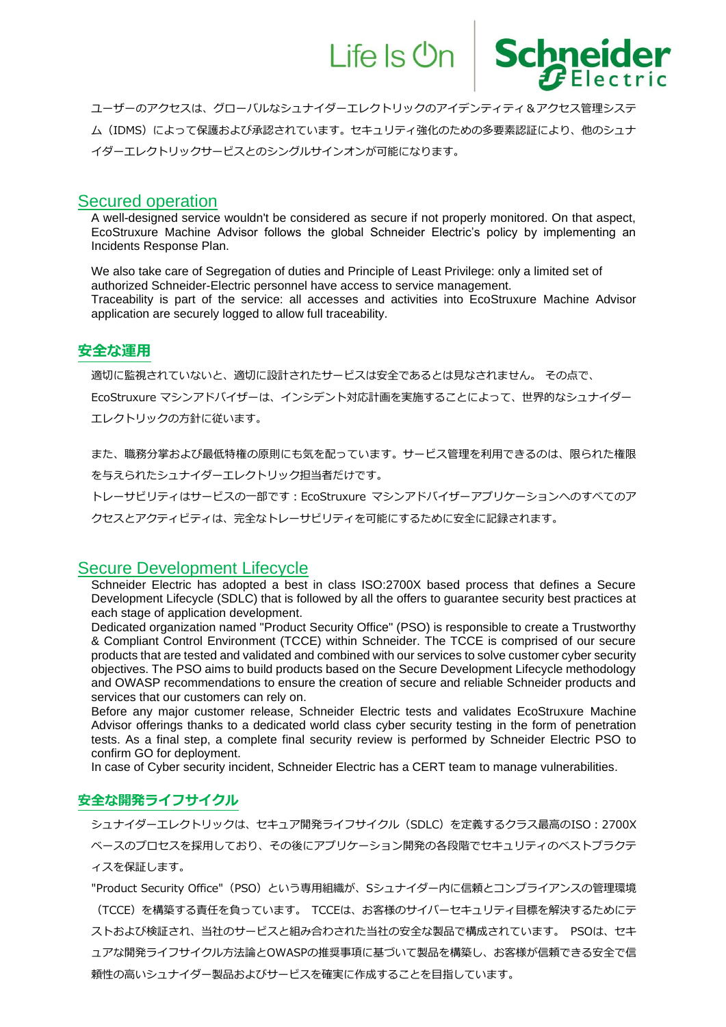

ユーザーのアクセスは、グローバルなシュナイダーエレクトリックのアイデンティティ&アクセス管理システ ム(IDMS)によって保護および承認されています。セキュリティ強化のための多要素認証により、他のシュナ イダーエレクトリックサービスとのシングルサインオンが可能になります。

#### Secured operation

A well-designed service wouldn't be considered as secure if not properly monitored. On that aspect, EcoStruxure Machine Advisor follows the global Schneider Electric's policy by implementing an Incidents Response Plan.

We also take care of Segregation of duties and Principle of Least Privilege: only a limited set of authorized Schneider-Electric personnel have access to service management. Traceability is part of the service: all accesses and activities into EcoStruxure Machine Advisor application are securely logged to allow full traceability.

#### **安全な運用**

適切に監視されていないと、適切に設計されたサービスは安全であるとは見なされません。 その点で、

EcoStruxure マシンアドバイザーは、インシデント対応計画を実施することによって、世界的なシュナイダー エレクトリックの方針に従います。

また、職務分掌および最低特権の原則にも気を配っています。サービス管理を利用できるのは、限られた権限 を与えられたシュナイダーエレクトリック担当者だけです。

トレーサビリティはサービスの一部です:EcoStruxure マシンアドバイザーアプリケーションへのすべてのア

クセスとアクティビティは、完全なトレーサビリティを可能にするために安全に記録されます。

#### Secure Development Lifecycle

Schneider Electric has adopted a best in class ISO:2700X based process that defines a Secure Development Lifecycle (SDLC) that is followed by all the offers to guarantee security best practices at each stage of application development.

Dedicated organization named "Product Security Office" (PSO) is responsible to create a Trustworthy & Compliant Control Environment (TCCE) within Schneider. The TCCE is comprised of our secure products that are tested and validated and combined with our services to solve customer cyber security objectives. The PSO aims to build products based on the Secure Development Lifecycle methodology and OWASP recommendations to ensure the creation of secure and reliable Schneider products and services that our customers can rely on.

Before any major customer release, Schneider Electric tests and validates EcoStruxure Machine Advisor offerings thanks to a dedicated world class cyber security testing in the form of penetration tests. As a final step, a complete final security review is performed by Schneider Electric PSO to confirm GO for deployment.

In case of Cyber security incident, Schneider Electric has a CERT team to manage vulnerabilities.

#### **安全な開発ライフサイクル**

シュナイダーエレクトリックは、セキュア開発ライフサイクル(SDLC)を定義するクラス最高のISO:2700X ベースのプロセスを採用しており、その後にアプリケーション開発の各段階でセキュリティのベストプラクテ ィスを保証します。

"Product Security Office"(PSO)という専用組織が、Sシュナイダー内に信頼とコンプライアンスの管理環境 (TCCE)を構築する責任を負っています。 TCCEは、お客様のサイバーセキュリティ目標を解決するためにテ ストおよび検証され、当社のサービスと組み合わされた当社の安全な製品で構成されています。 PSOは、セキ ュアな開発ライフサイクル方法論とOWASPの推奨事項に基づいて製品を構築し、お客様が信頼できる安全で信 頼性の高いシュナイダー製品およびサービスを確実に作成することを目指しています。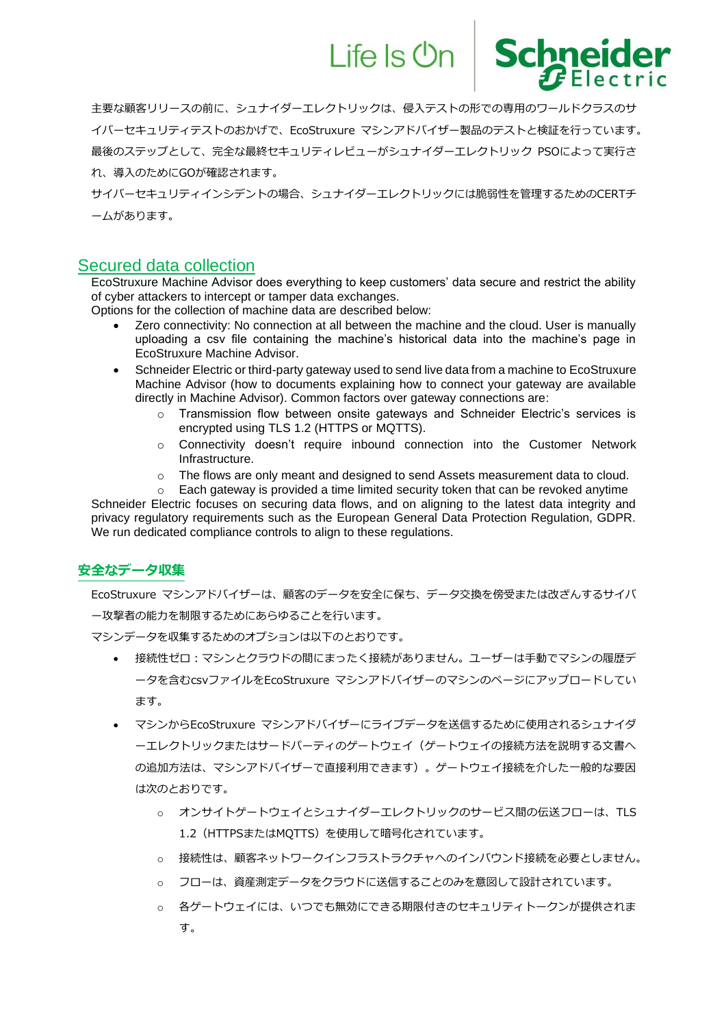

主要な顧客リリースの前に、シュナイダーエレクトリックは、侵入テストの形での専用のワールドクラスのサ イバーセキュリティテストのおかげで、EcoStruxure マシンアドバイザー製品のテストと検証を行っています。 最後のステップとして、完全な最終セキュリティレビューがシュナイダーエレクトリック PSOによって実行さ れ、導入のためにGOが確認されます。

サイバーセキュリティインシデントの場合、シュナイダーエレクトリックには脆弱性を管理するためのCERTチ ームがあります。

### Secured data collection

EcoStruxure Machine Advisor does everything to keep customers' data secure and restrict the ability of cyber attackers to intercept or tamper data exchanges.

Options for the collection of machine data are described below:

- Zero connectivity: No connection at all between the machine and the cloud. User is manually uploading a csv file containing the machine's historical data into the machine's page in EcoStruxure Machine Advisor.
- Schneider Electric or third-party gateway used to send live data from a machine to EcoStruxure Machine Advisor (how to documents explaining how to connect your gateway are available directly in Machine Advisor). Common factors over gateway connections are:
	- o Transmission flow between onsite gateways and Schneider Electric's services is encrypted using TLS 1.2 (HTTPS or MQTTS).
	- $\circ$  Connectivity doesn't require inbound connection into the Customer Network Infrastructure.
	- $\circ$  The flows are only meant and designed to send Assets measurement data to cloud.
- $\circ$  Each gateway is provided a time limited security token that can be revoked anytime Schneider Electric focuses on securing data flows, and on aligning to the latest data integrity and privacy regulatory requirements such as the European General Data Protection Regulation, GDPR.

We run dedicated compliance controls to align to these regulations.

#### **安全なデータ収集**

EcoStruxure マシンアドバイザーは、顧客のデータを安全に保ち、データ交換を傍受または改ざんするサイバ ー攻撃者の能力を制限するためにあらゆることを行います。

マシンデータを収集するためのオプションは以下のとおりです。

- 接続性ゼロ:マシンとクラウドの間にまったく接続がありません。ユーザーは手動でマシンの履歴デ ータを含むcsvファイルをEcoStruxure マシンアドバイザーのマシンのページにアップロードしてい ます。
- マシンからEcoStruxure マシンアドバイザーにライブデータを送信するために使用されるシュナイダ ーエレクトリックまたはサードパーティのゲートウェイ(ゲートウェイの接続方法を説明する文書へ の追加方法は、マシンアドバイザーで直接利用できます)。ゲートウェイ接続を介した一般的な要因 は次のとおりです。
	- o オンサイトゲートウェイとシュナイダーエレクトリックのサービス間の伝送フローは、TLS 1.2 (HTTPSまたはMQTTS)を使用して暗号化されています。
	- o 接続性は、顧客ネットワークインフラストラクチャへのインバウンド接続を必要としません。
	- o フローは、資産測定データをクラウドに送信することのみを意図して設計されています。
	- o 各ゲートウェイには、いつでも無効にできる期限付きのセキュリティトークンが提供されま す。